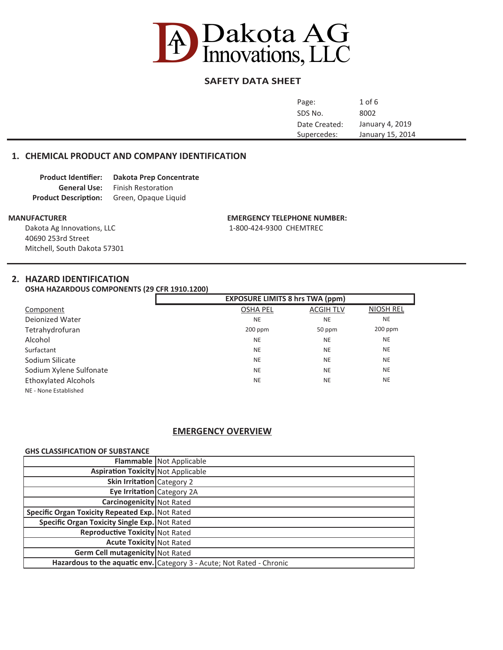

# **SAFETY DATA SHEET**

| Page:         | $1$ of $6$       |
|---------------|------------------|
| SDS No.       | 8002             |
| Date Created: | January 4, 2019  |
| Supercedes:   | January 15, 2014 |
|               |                  |

## **1. CHEMICAL PRODUCT AND COMPANY IDENTIFICATION**

| <b>Product Identifier:</b>  | <b>Dakota Prep Concentrate</b> |
|-----------------------------|--------------------------------|
| <b>General Use:</b>         | <b>Finish Restoration</b>      |
| <b>Product Description:</b> | Green, Opaque Liquid           |

Dakota Ag Innovations, LLC 1-800-424-9300 CHEMTREC 40690 253rd Street Mitchell, South Dakota 57301

#### **MANUFACTURER EMERGENCY TELEPHONE NUMBER:**

## **2. HAZARD IDENTIFICATION**

**OSHA HAZARDOUS COMPONENTS (29 CFR 1910.1200)**

|                             | <b>EXPOSURE LIMITS 8 hrs TWA (ppm)</b> |                  |                  |
|-----------------------------|----------------------------------------|------------------|------------------|
| Component                   | <b>OSHA PEL</b>                        | <b>ACGIH TLV</b> | <b>NIOSH REL</b> |
| <b>Deionized Water</b>      | <b>NE</b>                              | <b>NE</b>        | <b>NE</b>        |
| Tetrahydrofuran             | $200$ ppm                              | 50 ppm           | $200$ ppm        |
| Alcohol                     | <b>NE</b>                              | <b>NE</b>        | <b>NE</b>        |
| Surfactant                  | <b>NE</b>                              | <b>NE</b>        | <b>NE</b>        |
| Sodium Silicate             | <b>NE</b>                              | <b>NE</b>        | <b>NE</b>        |
| Sodium Xylene Sulfonate     | <b>NE</b>                              | <b>NE</b>        | <b>NE</b>        |
| <b>Ethoxylated Alcohols</b> | <b>NE</b>                              | <b>NE</b>        | <b>NE</b>        |
| NE - None Established       |                                        |                  |                  |

#### **EMERGENCY OVERVIEW**

#### **GHS CLASSIFICATION OF SUBSTANCE**

|                                                 | Flammable Not Applicable                                              |
|-------------------------------------------------|-----------------------------------------------------------------------|
| <b>Aspiration Toxicity</b> Not Applicable       |                                                                       |
| Skin Irritation Category 2                      |                                                                       |
| Eye Irritation Category 2A                      |                                                                       |
| <b>Carcinogenicity</b> Not Rated                |                                                                       |
| Specific Organ Toxicity Repeated Exp. Not Rated |                                                                       |
| Specific Organ Toxicity Single Exp. Not Rated   |                                                                       |
| Reproductive Toxicity Not Rated                 |                                                                       |
| <b>Acute Toxicity Not Rated</b>                 |                                                                       |
| Germ Cell mutagenicity Not Rated                |                                                                       |
|                                                 | Hazardous to the aquatic env. Category 3 - Acute; Not Rated - Chronic |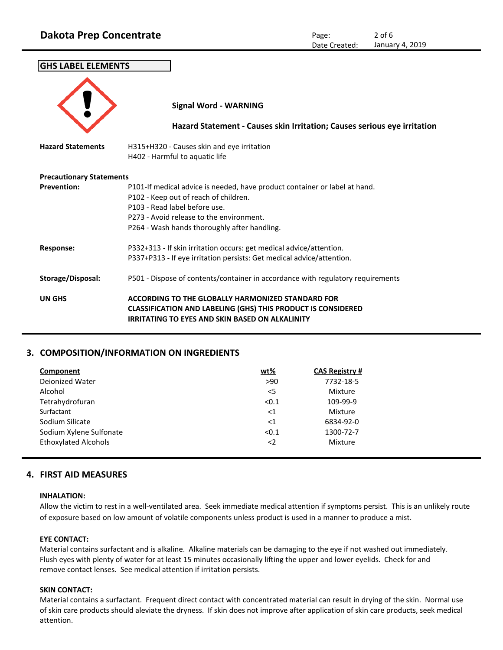| <b>GHS LABEL ELEMENTS</b>       |                                                                                                                                                                                                                                                  |
|---------------------------------|--------------------------------------------------------------------------------------------------------------------------------------------------------------------------------------------------------------------------------------------------|
|                                 | <b>Signal Word - WARNING</b>                                                                                                                                                                                                                     |
|                                 | Hazard Statement - Causes skin Irritation; Causes serious eye irritation                                                                                                                                                                         |
| <b>Hazard Statements</b>        | H315+H320 - Causes skin and eye irritation<br>H402 - Harmful to aquatic life                                                                                                                                                                     |
| <b>Precautionary Statements</b> |                                                                                                                                                                                                                                                  |
| <b>Prevention:</b>              | P101-If medical advice is needed, have product container or label at hand.<br>P102 - Keep out of reach of children.<br>P103 - Read label before use.<br>P273 - Avoid release to the environment.<br>P264 - Wash hands thoroughly after handling. |
| <b>Response:</b>                | P332+313 - If skin irritation occurs: get medical advice/attention.<br>P337+P313 - If eye irritation persists: Get medical advice/attention.                                                                                                     |
| Storage/Disposal:               | P501 - Dispose of contents/container in accordance with regulatory requirements                                                                                                                                                                  |
| <b>UN GHS</b>                   | ACCORDING TO THE GLOBALLY HARMONIZED STANDARD FOR<br><b>CLASSIFICATION AND LABELING (GHS) THIS PRODUCT IS CONSIDERED</b><br><b>IRRITATING TO EYES AND SKIN BASED ON ALKALINITY</b>                                                               |

# **3. COMPOSITION/INFORMATION ON INGREDIENTS**

| Component                   | $wt\%$      | <b>CAS Registry #</b> |
|-----------------------------|-------------|-----------------------|
| Dejonized Water             | >90         | 7732-18-5             |
| Alcohol                     | $<$ 5       | Mixture               |
| Tetrahydrofuran             | < 0.1       | 109-99-9              |
| Surfactant                  | $<$ 1       | Mixture               |
| Sodium Silicate             | $<$ 1       | 6834-92-0             |
| Sodium Xylene Sulfonate     | < 0.1       | 1300-72-7             |
| <b>Ethoxylated Alcohols</b> | $\langle$ 2 | Mixture               |
|                             |             |                       |

# **4. FIRST AID MEASURES**

#### **INHALATION:**

Allow the victim to rest in a well-ventilated area. Seek immediate medical attention if symptoms persist. This is an unlikely route of exposure based on low amount of volatile components unless product is used in a manner to produce a mist.

## **EYE CONTACT:**

Material contains surfactant and is alkaline. Alkaline materials can be damaging to the eye if not washed out immediately. Flush eyes with plenty of water for at least 15 minutes occasionally lifting the upper and lower eyelids. Check for and remove contact lenses. See medical attention if irritation persists.

## **SKIN CONTACT:**

Material contains a surfactant. Frequent direct contact with concentrated material can result in drying of the skin. Normal use of skin care products should aleviate the dryness. If skin does not improve after application of skin care products, seek medical attention.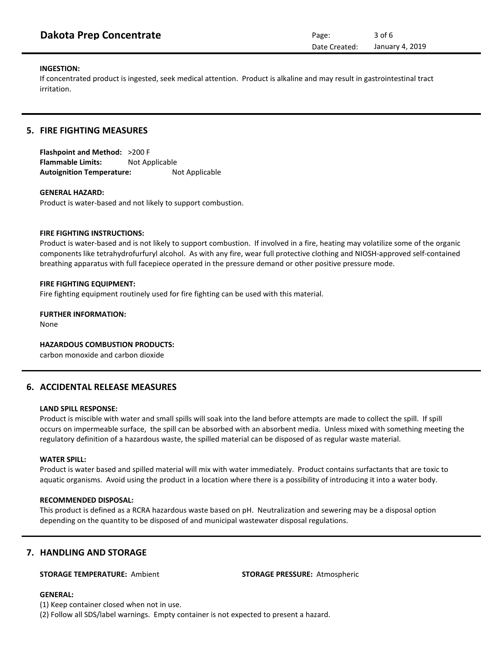# **INGESTION:**

If concentrated product is ingested, seek medical attention. Product is alkaline and may result in gastrointestinal tract irritation.

# **5. FIRE FIGHTING MEASURES**

**Flashpoint and Method:** >200 F **Flammable Limits:** Not Applicable Autoignition Temperature: Not Applicable

# **GENERAL HAZARD:**

Product is water-based and not likely to support combustion.

# **FIRE FIGHTING INSTRUCTIONS:**

Product is water-based and is not likely to support combustion. If involved in a fire, heating may volatilize some of the organic components like tetrahydrofurfuryl alcohol. As with any fire, wear full protective clothing and NIOSH-approved self-contained breathing apparatus with full facepiece operated in the pressure demand or other positive pressure mode.

# **FIRE FIGHTING EQUIPMENT:**

Fire fighting equipment routinely used for fire fighting can be used with this material.

# **FURTHER INFORMATION:**

None

## **HAZARDOUS COMBUSTION PRODUCTS:**

carbon monoxide and carbon dioxide

## **6. ACCIDENTAL RELEASE MEASURES**

#### **LAND SPILL RESPONSE:**

Product is miscible with water and small spills will soak into the land before attempts are made to collect the spill. If spill occurs on impermeable surface, the spill can be absorbed with an absorbent media. Unless mixed with something meeting the regulatory definition of a hazardous waste, the spilled material can be disposed of as regular waste material.

#### **WATER SPILL:**

Product is water based and spilled material will mix with water immediately. Product contains surfactants that are toxic to aquatic organisms. Avoid using the product in a location where there is a possibility of introducing it into a water body.

#### **RECOMMENDED DISPOSAL:**

This product is defined as a RCRA hazardous waste based on pH. Neutralization and sewering may be a disposal option depending on the quantity to be disposed of and municipal wastewater disposal regulations.

## **7. HANDLING AND STORAGE**

#### **STORAGE TEMPERATURE:** Ambient **STORAGE PRESSURE:** Atmospheric

#### **GENERAL:**

(1) Keep container closed when not in use.

(2) Follow all SDS/label warnings. Empty container is not expected to present a hazard.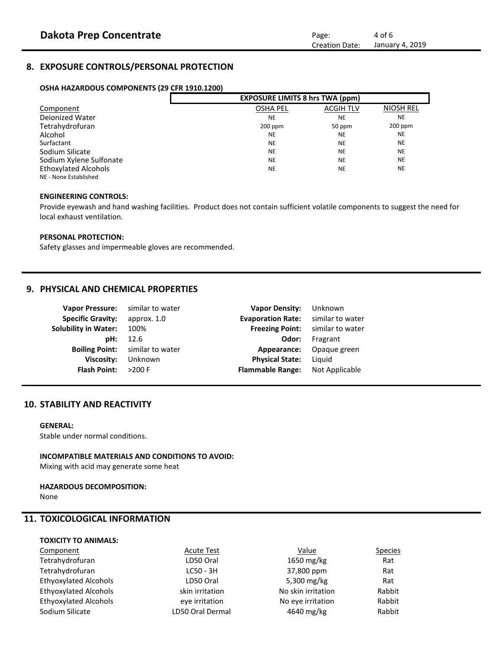# **8. EXPOSURE CONTROLS/PERSONAL PROTECTION**

#### **OSHA HAZARDOUS COMPONENTS (29 CFR 1910.1200)**

|                         | <b>EXPOSURE LIMITS 8 hrs TWA (ppm)</b> |                  |                  |
|-------------------------|----------------------------------------|------------------|------------------|
| Component               | <b>OSHA PEL</b>                        | <b>ACGIH TLV</b> | <b>NIOSH REL</b> |
| <b>Deionized Water</b>  | <b>NE</b>                              | <b>NE</b>        | <b>NE</b>        |
| Tetrahydrofuran         | $200$ ppm                              | 50 ppm           | $200$ ppm        |
| Alcohol                 | <b>NE</b>                              | <b>NE</b>        | <b>NE</b>        |
| Surfactant              | <b>NE</b>                              | <b>NE</b>        | <b>NE</b>        |
| Sodium Silicate         | <b>NE</b>                              | <b>NE</b>        | <b>NE</b>        |
| Sodium Xylene Sulfonate | <b>NE</b>                              | <b>NE</b>        | <b>NE</b>        |
| Ethoxylated Alcohols    | <b>NE</b>                              | <b>NE</b>        | <b>NE</b>        |
| NE - None Established   |                                        |                  |                  |

#### **ENGINEERING CONTROLS:**

Provide eyewash and hand washing facilities. Product does not contain sufficient volatile components to suggest the need for local exhaust ventilation.

#### **PERSONAL PROTECTION:**

Safety glasses and impermeable gloves are recommended.

## **9. PHYSICAL AND CHEMICAL PROPERTIES**

| <b>Vapor Pressure:</b>      | similar to water | <b>Vapor Density:</b>    | Unknown          |
|-----------------------------|------------------|--------------------------|------------------|
| <b>Specific Gravity:</b>    | approx. 1.0      | <b>Evaporation Rate:</b> | similar to water |
| <b>Solubility in Water:</b> | 100%             | <b>Freezing Point:</b>   | similar to water |
| pH:                         | 12.6             | Odor:                    | Fragrant         |
| <b>Boiling Point:</b>       | similar to water | Appearance:              | Opaque green     |
| Viscosity:                  | Unknown          | <b>Physical State:</b>   | Liquid           |
| <b>Flash Point:</b>         | $>200$ F         | <b>Flammable Range:</b>  | Not Applicable   |
|                             |                  |                          |                  |

## **10. STABILITY AND REACTIVITY**

#### **GENERAL:**

Stable under normal conditions.

#### **INCOMPATIBLE MATERIALS AND CONDITIONS TO AVOID:**

Mixing with acid may generate some heat

#### **HAZARDOUS DECOMPOSITION:**

None

# **11. TOXICOLOGICAL INFORMATION**

#### **TOXICITY TO ANIMALS:**

| Component                    | <b>Acute Test</b> | Value              | <b>Species</b> |
|------------------------------|-------------------|--------------------|----------------|
| Tetrahydrofuran              | LD50 Oral         | 1650 mg/kg         | Rat            |
| Tetrahydrofuran              | $LC50 - 3H$       | 37,800 ppm         | Rat            |
| <b>Ethyoxylated Alcohols</b> | LD50 Oral         | 5,300 mg/kg        | Rat            |
| Ethyoxylated Alcohols        | skin irritation   | No skin irritation | Rabbit         |
| Ethyoxylated Alcohols        | eve irritation    | No eye irritation  | Rabbit         |
| Sodium Silicate              | LD50 Oral Dermal  | 4640 mg/kg         | Rabbit         |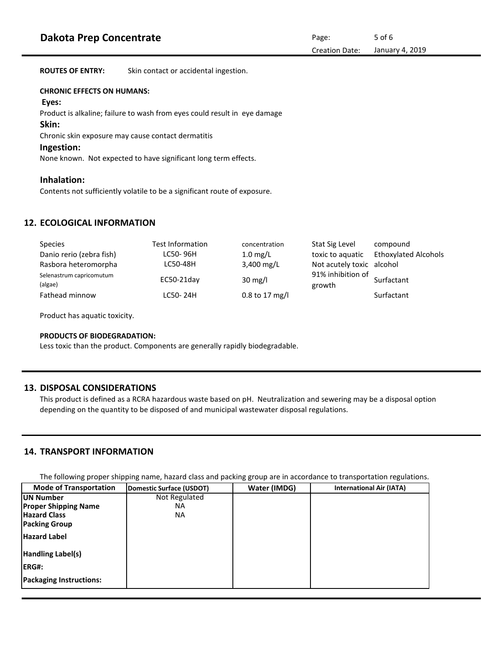**ROUTES OF ENTRY:** Skin contact or accidental ingestion.

#### **CHRONIC EFFECTS ON HUMANS:**

#### **Eyes:**

Product is alkaline; failure to wash from eyes could result in eye damage

#### **Skin:**

Chronic skin exposure may cause contact dermatitis

## **Ingestion:**

None known. Not expected to have significant long term effects.

## **Inhalation:**

Contents not sufficiently volatile to be a significant route of exposure.

## **12. ECOLOGICAL INFORMATION**

| <b>Species</b>                      | <b>Test Information</b> | concentration      | Stat Sig Level              | compound                    |
|-------------------------------------|-------------------------|--------------------|-----------------------------|-----------------------------|
| Danio rerio (zebra fish)            | LC50-96H                | $1.0 \text{ mg/L}$ | toxic to aguatic            | <b>Ethoxylated Alcohols</b> |
| Rasbora heteromorpha                | LC50-48H                | 3,400 mg/L         | Not acutely toxic alcohol   |                             |
| Selenastrum capricomutum<br>(algae) | $EC50-21$ day           | $30 \text{ mg/l}$  | 91% inhibition of<br>growth | Surfactant                  |
| Fathead minnow                      | LC50-24H                | $0.8$ to 17 mg/l   |                             | Surfactant                  |

Product has aquatic toxicity.

#### **PRODUCTS OF BIODEGRADATION:**

Less toxic than the product. Components are generally rapidly biodegradable.

## **13. DISPOSAL CONSIDERATIONS**

This product is defined as a RCRA hazardous waste based on pH. Neutralization and sewering may be a disposal option depending on the quantity to be disposed of and municipal wastewater disposal regulations.

## **14. TRANSPORT INFORMATION**

The following proper shipping name, hazard class and packing group are in accordance to transportation regulations.

| <b>Mode of Transportation</b>  | Domestic Surface (USDOT) | Water (IMDG) | <b>International Air (IATA)</b> |
|--------------------------------|--------------------------|--------------|---------------------------------|
| <b>IUN Number</b>              | Not Regulated            |              |                                 |
| <b>Proper Shipping Name</b>    | ΝA                       |              |                                 |
| <b>Hazard Class</b>            | ΝA                       |              |                                 |
| <b>Packing Group</b>           |                          |              |                                 |
| <b>Hazard Label</b>            |                          |              |                                 |
| Handling Label(s)              |                          |              |                                 |
| <b>IERG#:</b>                  |                          |              |                                 |
| <b>Packaging Instructions:</b> |                          |              |                                 |